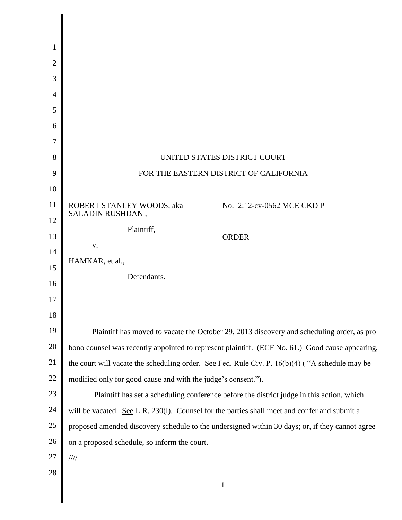| 1              |                                                                                                  |                            |
|----------------|--------------------------------------------------------------------------------------------------|----------------------------|
| $\overline{2}$ |                                                                                                  |                            |
| 3              |                                                                                                  |                            |
| 4              |                                                                                                  |                            |
| 5              |                                                                                                  |                            |
| 6              |                                                                                                  |                            |
| 7              |                                                                                                  |                            |
| 8              | UNITED STATES DISTRICT COURT                                                                     |                            |
| 9              | FOR THE EASTERN DISTRICT OF CALIFORNIA                                                           |                            |
| 10             |                                                                                                  |                            |
| 11             | ROBERT STANLEY WOODS, aka<br>SALADIN RUSHDAN,                                                    | No. 2:12-cv-0562 MCE CKD P |
| 12             | Plaintiff,                                                                                       |                            |
| 13             | V.                                                                                               | <b>ORDER</b>               |
| 14             | HAMKAR, et al.,                                                                                  |                            |
| 15             | Defendants.                                                                                      |                            |
| 16             |                                                                                                  |                            |
| 17             |                                                                                                  |                            |
| 18             |                                                                                                  |                            |
| 19             | Plaintiff has moved to vacate the October 29, 2013 discovery and scheduling order, as pro        |                            |
| 20             | bono counsel was recently appointed to represent plaintiff. (ECF No. 61.) Good cause appearing,  |                            |
| 21             | the court will vacate the scheduling order. See Fed. Rule Civ. P. $16(b)(4)$ ("A schedule may be |                            |
| $22\,$         | modified only for good cause and with the judge's consent.").                                    |                            |
| 23             | Plaintiff has set a scheduling conference before the district judge in this action, which        |                            |
| 24             | will be vacated. See L.R. 230(1). Counsel for the parties shall meet and confer and submit a     |                            |
| $25\,$         | proposed amended discovery schedule to the undersigned within 30 days; or, if they cannot agree  |                            |
| 26             | on a proposed schedule, so inform the court.                                                     |                            |
| 27             | $\frac{1}{1}$                                                                                    |                            |
| 28             |                                                                                                  | $\mathbf{1}$               |
|                |                                                                                                  |                            |